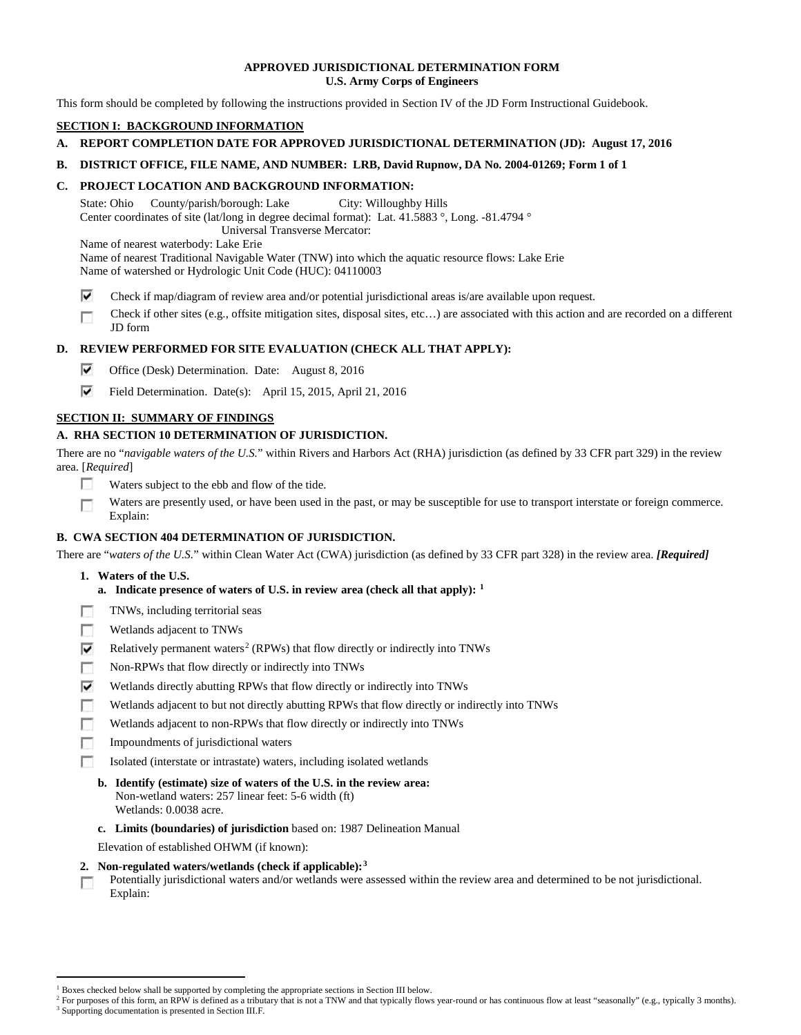## **APPROVED JURISDICTIONAL DETERMINATION FORM U.S. Army Corps of Engineers**

This form should be completed by following the instructions provided in Section IV of the JD Form Instructional Guidebook.

## **SECTION I: BACKGROUND INFORMATION**

- **A. REPORT COMPLETION DATE FOR APPROVED JURISDICTIONAL DETERMINATION (JD): August 17, 2016**
- **B. DISTRICT OFFICE, FILE NAME, AND NUMBER: LRB, David Rupnow, DA No. 2004-01269; Form 1 of 1**

## **C. PROJECT LOCATION AND BACKGROUND INFORMATION:**

State: Ohio County/parish/borough: Lake City: Willoughby Hills Center coordinates of site (lat/long in degree decimal format): Lat. 41.5883 °, Long. -81.4794 ° Universal Transverse Mercator:

Name of nearest waterbody: Lake Erie

Name of nearest Traditional Navigable Water (TNW) into which the aquatic resource flows: Lake Erie

Name of watershed or Hydrologic Unit Code (HUC): 04110003

- ⊽ Check if map/diagram of review area and/or potential jurisdictional areas is/are available upon request.
- Check if other sites (e.g., offsite mitigation sites, disposal sites, etc…) are associated with this action and are recorded on a different г JD form

# **D. REVIEW PERFORMED FOR SITE EVALUATION (CHECK ALL THAT APPLY):**

- ⊽ Office (Desk) Determination. Date: August 8, 2016
- ⊽ Field Determination. Date(s): April 15, 2015, April 21, 2016

# **SECTION II: SUMMARY OF FINDINGS**

# **A. RHA SECTION 10 DETERMINATION OF JURISDICTION.**

There are no "*navigable waters of the U.S.*" within Rivers and Harbors Act (RHA) jurisdiction (as defined by 33 CFR part 329) in the review area. [*Required*]

- п Waters subject to the ebb and flow of the tide.
- Waters are presently used, or have been used in the past, or may be susceptible for use to transport interstate or foreign commerce. п Explain:

# **B. CWA SECTION 404 DETERMINATION OF JURISDICTION.**

There are "*waters of the U.S.*" within Clean Water Act (CWA) jurisdiction (as defined by 33 CFR part 328) in the review area. *[Required]*

- **1. Waters of the U.S.**
	- **a. Indicate presence of waters of U.S. in review area (check all that apply): [1](#page-0-0)**
- 同 TNWs, including territorial seas
- T. Wetlands adjacent to TNWs
- ⊽ Relatively permanent waters<sup>[2](#page-0-1)</sup> (RPWs) that flow directly or indirectly into TNWs
- п Non-RPWs that flow directly or indirectly into TNWs
- ⊽ Wetlands directly abutting RPWs that flow directly or indirectly into TNWs
- Wetlands adjacent to but not directly abutting RPWs that flow directly or indirectly into TNWs n
- г Wetlands adjacent to non-RPWs that flow directly or indirectly into TNWs
- n. Impoundments of jurisdictional waters
- Isolated (interstate or intrastate) waters, including isolated wetlands п
	- **b. Identify (estimate) size of waters of the U.S. in the review area:** Non-wetland waters: 257 linear feet: 5-6 width (ft) Wetlands: 0.0038 acre.
	- **c. Limits (boundaries) of jurisdiction** based on: 1987 Delineation Manual

Elevation of established OHWM (if known):

- **2. Non-regulated waters/wetlands (check if applicable):[3](#page-0-2)**
- Potentially jurisdictional waters and/or wetlands were assessed within the review area and determined to be not jurisdictional. п Explain:

<sup>&</sup>lt;sup>1</sup> Boxes checked below shall be supported by completing the appropriate sections in Section III below.

<span id="page-0-2"></span><span id="page-0-1"></span><span id="page-0-0"></span>For purposes of this form, an RPW is defined as a tributary that is not a TNW and that typically flows year-round or has continuous flow at least "seasonally" (e.g., typically 3 months). <sup>3</sup> Supporting documentation is presented in Section III.F.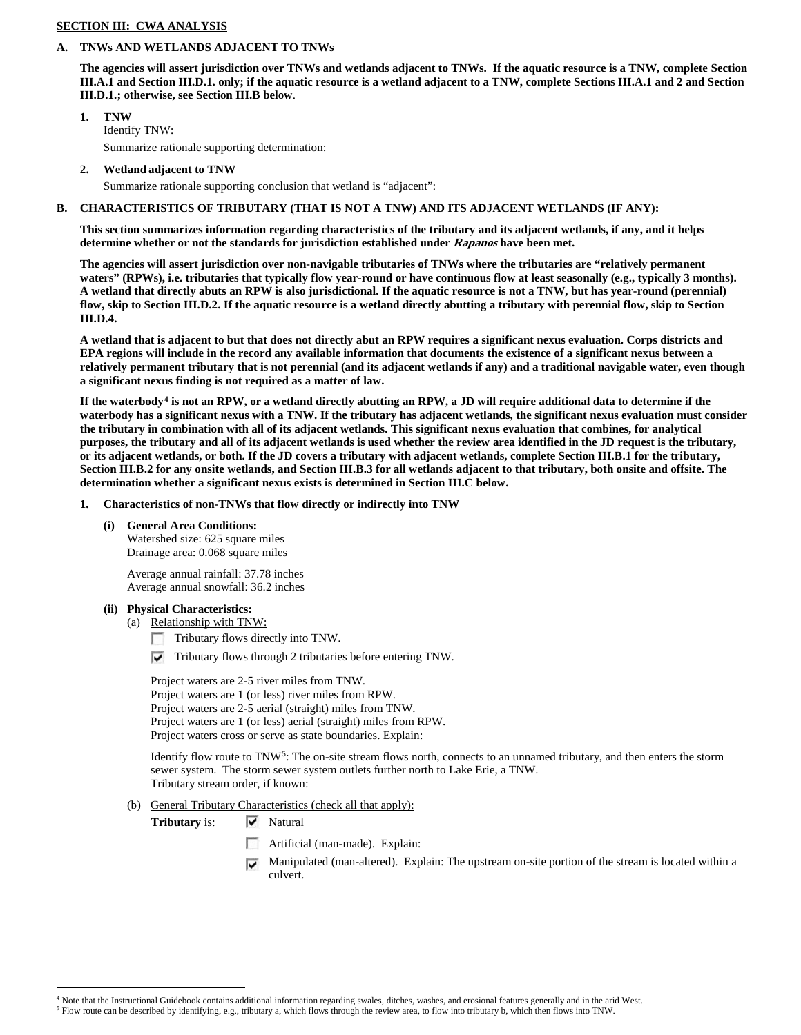## **SECTION III: CWA ANALYSIS**

### **A. TNWs AND WETLANDS ADJACENT TO TNWs**

**The agencies will assert jurisdiction over TNWs and wetlands adjacent to TNWs. If the aquatic resource is a TNW, complete Section III.A.1 and Section III.D.1. only; if the aquatic resource is a wetland adjacent to a TNW, complete Sections III.A.1 and 2 and Section III.D.1.; otherwise, see Section III.B below**.

- **1. TNW**  Identify TNW: Summarize rationale supporting determination:
- **2. Wetland adjacent to TNW**

Summarize rationale supporting conclusion that wetland is "adjacent":

## **B. CHARACTERISTICS OF TRIBUTARY (THAT IS NOT A TNW) AND ITS ADJACENT WETLANDS (IF ANY):**

**This section summarizes information regarding characteristics of the tributary and its adjacent wetlands, if any, and it helps determine whether or not the standards for jurisdiction established under Rapanos have been met.** 

**The agencies will assert jurisdiction over non-navigable tributaries of TNWs where the tributaries are "relatively permanent waters" (RPWs), i.e. tributaries that typically flow year-round or have continuous flow at least seasonally (e.g., typically 3 months). A wetland that directly abuts an RPW is also jurisdictional. If the aquatic resource is not a TNW, but has year-round (perennial) flow, skip to Section III.D.2. If the aquatic resource is a wetland directly abutting a tributary with perennial flow, skip to Section III.D.4.**

**A wetland that is adjacent to but that does not directly abut an RPW requires a significant nexus evaluation. Corps districts and EPA regions will include in the record any available information that documents the existence of a significant nexus between a relatively permanent tributary that is not perennial (and its adjacent wetlands if any) and a traditional navigable water, even though a significant nexus finding is not required as a matter of law.**

**If the waterbody[4](#page-1-0) is not an RPW, or a wetland directly abutting an RPW, a JD will require additional data to determine if the waterbody has a significant nexus with a TNW. If the tributary has adjacent wetlands, the significant nexus evaluation must consider the tributary in combination with all of its adjacent wetlands. This significant nexus evaluation that combines, for analytical purposes, the tributary and all of its adjacent wetlands is used whether the review area identified in the JD request is the tributary, or its adjacent wetlands, or both. If the JD covers a tributary with adjacent wetlands, complete Section III.B.1 for the tributary, Section III.B.2 for any onsite wetlands, and Section III.B.3 for all wetlands adjacent to that tributary, both onsite and offsite. The determination whether a significant nexus exists is determined in Section III.C below.**

- **1. Characteristics of non-TNWs that flow directly or indirectly into TNW**
	- **(i) General Area Conditions:**

Watershed size: 625 square miles Drainage area: 0.068 square miles

Average annual rainfall: 37.78 inches Average annual snowfall: 36.2 inches

**(ii) Physical Characteristics:**

(a) Relationship with TNW:

Tributary flows directly into TNW.

 $\triangledown$  Tributary flows through 2 tributaries before entering TNW.

Project waters are 2-5 river miles from TNW. Project waters are 1 (or less) river miles from RPW. Project waters are 2-5 aerial (straight) miles from TNW. Project waters are 1 (or less) aerial (straight) miles from RPW. Project waters cross or serve as state boundaries. Explain:

Identify flow route to TNW[5:](#page-1-1) The on-site stream flows north, connects to an unnamed tributary, and then enters the storm sewer system. The storm sewer system outlets further north to Lake Erie, a TNW. Tributary stream order, if known:

(b) General Tributary Characteristics (check all that apply):

**Tributary** is:  $\overline{\mathbf{v}}$  Natural

- n Artificial (man-made). Explain:
- Manipulated (man-altered). Explain: The upstream on-site portion of the stream is located within a culvert.

<span id="page-1-1"></span><span id="page-1-0"></span> <sup>4</sup> Note that the Instructional Guidebook contains additional information regarding swales, ditches, washes, and erosional features generally and in the arid West.

<sup>5</sup> Flow route can be described by identifying, e.g., tributary a, which flows through the review area, to flow into tributary b, which then flows into TNW.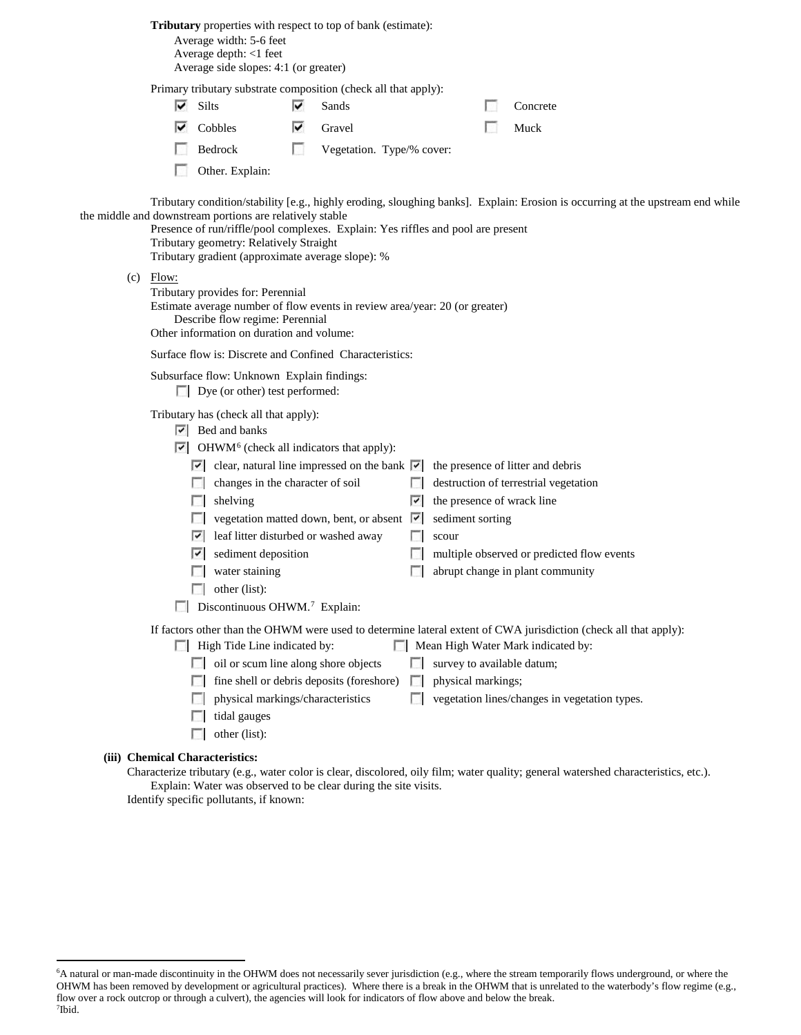**Tributary** properties with respect to top of bank (estimate):

Average width: 5-6 feet Average depth: <1 feet Average side slopes: 4:1 (or greater)

Primary tributary substrate composition (check all that apply):

| $\overline{\triangleright}$ Silts | ⊮ | Sands                     | Concrete |
|-----------------------------------|---|---------------------------|----------|
| $\triangleright$ Cobbles          | է | Gravel                    | Muck     |
| <b>Bedrock</b>                    |   | Vegetation. Type/% cover: |          |
| Other. Explain:                   |   |                           |          |

Tributary condition/stability [e.g., highly eroding, sloughing banks]. Explain: Erosion is occurring at the upstream end while the middle and downstream portions are relatively stable

Presence of run/riffle/pool complexes. Explain: Yes riffles and pool are present Tributary geometry: Relatively Straight Tributary gradient (approximate average slope): %

(c) Flow:

Tributary provides for: Perennial Estimate average number of flow events in review area/year: 20 (or greater) Describe flow regime: Perennial Other information on duration and volume:

Surface flow is: Discrete and Confined Characteristics:

Subsurface flow: Unknown Explain findings:

Dye (or other) test performed:

Tributary has (check all that apply):

- **Bed** and banks
- $\triangledown$  OHWM<sup>[6](#page-2-0)</sup> (check all indicators that apply):

|                          | clear, natural line impressed on the bank $\vec{v}$ the presence of litter and debris               |                 |                                                |
|--------------------------|-----------------------------------------------------------------------------------------------------|-----------------|------------------------------------------------|
|                          | $\Box$ changes in the character of soil                                                             |                 | $\Box$ destruction of terrestrial vegetation   |
| $\mathbb{R}$             | shelving                                                                                            |                 | $\vert \cdot \vert$ the presence of wrack line |
|                          | <b>Note that is a vegetation matted down, bent, or absent <math>\overline{\triangledown}</math></b> |                 | sediment sorting                               |
|                          | $\triangleright$ leaf litter disturbed or washed away                                               |                 | scour                                          |
| $\overline{\phantom{a}}$ | sediment deposition                                                                                 | <b>In the U</b> | multiple observed or predicted flow events     |
|                          |                                                                                                     |                 |                                                |

- $\Box$  water staining  $\Box$  abrupt change in plant community
- $\Box$  other (list):
- $\Box$  Discontinuous OHWM.<sup>7</sup> Explain:

If factors other than the OHWM were used to determine lateral extent of CWA jurisdiction (check all that apply):

- High Tide Line indicated by: Mean High Water Mark indicated by:
	- $\Box$  oil or scum line along shore objects  $\Box$  survey to available datum;
	- $\Box$  fine shell or debris deposits (foreshore)  $\Box$  physical markings;
	- $\Box$  physical markings/characteristics  $\Box$  vegetation lines/changes in vegetation types.
	- $\Box$  tidal gauges
	- $\Box$  other (list):

#### **(iii) Chemical Characteristics:**

Characterize tributary (e.g., water color is clear, discolored, oily film; water quality; general watershed characteristics, etc.). Explain: Water was observed to be clear during the site visits.

Identify specific pollutants, if known:

<span id="page-2-1"></span><span id="page-2-0"></span> <sup>6</sup> <sup>6</sup>A natural or man-made discontinuity in the OHWM does not necessarily sever jurisdiction (e.g., where the stream temporarily flows underground, or where the OHWM has been removed by development or agricultural practices). Where there is a break in the OHWM that is unrelated to the waterbody's flow regime (e.g., flow over a rock outcrop or through a culvert), the agencies will look for indicators of flow above and below the break. 7 Ibid.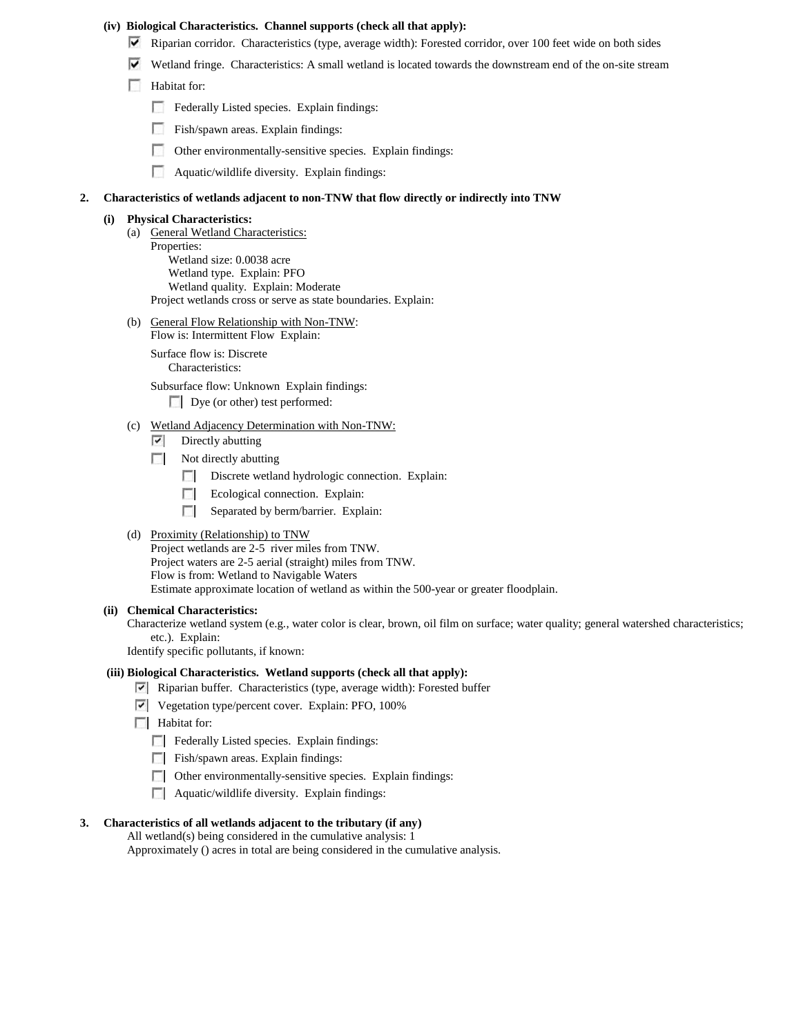#### **(iv) Biological Characteristics. Channel supports (check all that apply):**

- $\blacktriangledown$  Riparian corridor. Characteristics (type, average width): Forested corridor, over 100 feet wide on both sides
- Wetland fringe. Characteristics: A small wetland is located towards the downstream end of the on-site stream
- **Habitat for:** 
	- Federally Listed species. Explain findings:
	- Fish/spawn areas. Explain findings:
	- Other environmentally-sensitive species. Explain findings:
	- Aquatic/wildlife diversity. Explain findings:

#### **2. Characteristics of wetlands adjacent to non-TNW that flow directly or indirectly into TNW**

#### **(i) Physical Characteristics:**

- (a) General Wetland Characteristics: Properties: Wetland size: 0.0038 acre Wetland type. Explain: PFO Wetland quality. Explain: Moderate Project wetlands cross or serve as state boundaries. Explain:
- (b) General Flow Relationship with Non-TNW: Flow is: Intermittent Flow Explain:

Surface flow is: Discrete Characteristics:

Subsurface flow: Unknown Explain findings:

Dye (or other) test performed:

## (c) Wetland Adjacency Determination with Non-TNW:

- $\triangleright$  Directly abutting
- $\Box$  Not directly abutting
	- Discrete wetland hydrologic connection. Explain:
	- Ecological connection. Explain:
	- $\Box$  Separated by berm/barrier. Explain:

### (d) Proximity (Relationship) to TNW

Project wetlands are 2-5 river miles from TNW. Project waters are 2-5 aerial (straight) miles from TNW. Flow is from: Wetland to Navigable Waters Estimate approximate location of wetland as within the 500-year or greater floodplain.

#### **(ii) Chemical Characteristics:**

Characterize wetland system (e.g., water color is clear, brown, oil film on surface; water quality; general watershed characteristics; etc.). Explain:

Identify specific pollutants, if known:

## **(iii) Biological Characteristics. Wetland supports (check all that apply):**

- Riparian buffer. Characteristics (type, average width): Forested buffer
- Vegetation type/percent cover. Explain: PFO, 100%
- **Habitat for:** 
	- Federally Listed species. Explain findings:
	- **Fish/spawn areas. Explain findings:**
	- Other environmentally-sensitive species. Explain findings:
	- **Aquatic/wildlife diversity.** Explain findings:

## **3. Characteristics of all wetlands adjacent to the tributary (if any)**

All wetland(s) being considered in the cumulative analysis: 1

Approximately () acres in total are being considered in the cumulative analysis.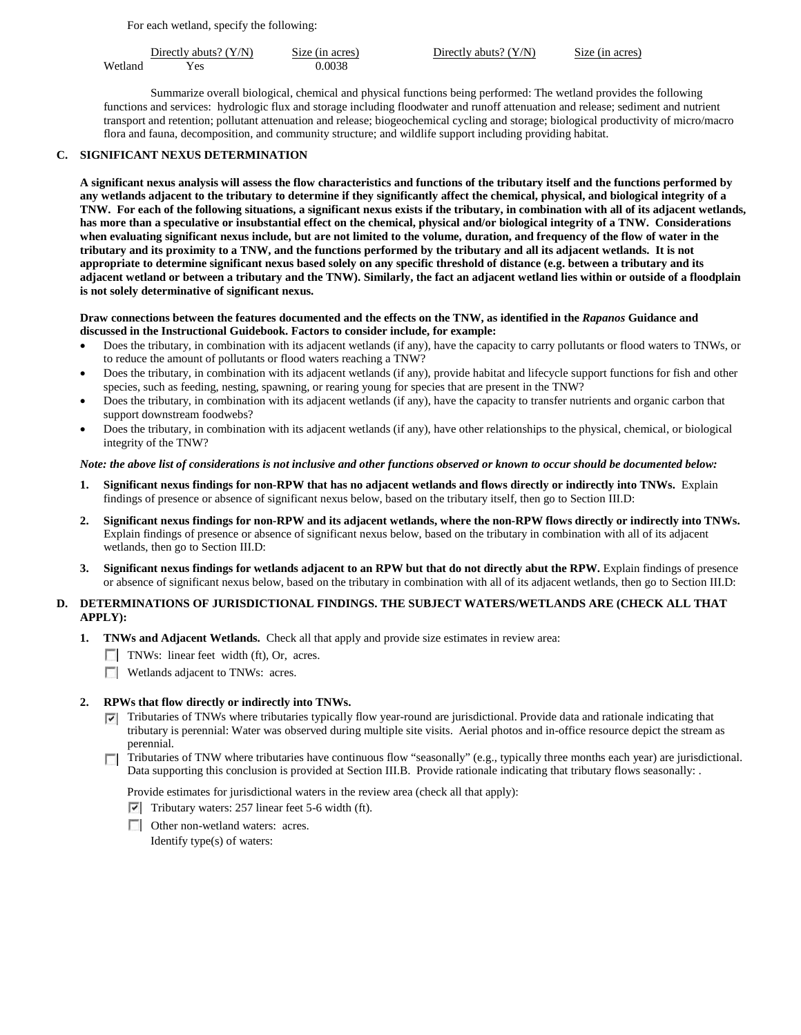For each wetland, specify the following:

|         | Directly abuts? $(Y/N)$ | Size (in acres) | Directly abuts? $(Y/N)$ | Size (in acres) |
|---------|-------------------------|-----------------|-------------------------|-----------------|
| Wetland | Y es                    | 0.0038          |                         |                 |

Summarize overall biological, chemical and physical functions being performed: The wetland provides the following functions and services: hydrologic flux and storage including floodwater and runoff attenuation and release; sediment and nutrient transport and retention; pollutant attenuation and release; biogeochemical cycling and storage; biological productivity of micro/macro flora and fauna, decomposition, and community structure; and wildlife support including providing habitat.

## **C. SIGNIFICANT NEXUS DETERMINATION**

**A significant nexus analysis will assess the flow characteristics and functions of the tributary itself and the functions performed by any wetlands adjacent to the tributary to determine if they significantly affect the chemical, physical, and biological integrity of a TNW. For each of the following situations, a significant nexus exists if the tributary, in combination with all of its adjacent wetlands, has more than a speculative or insubstantial effect on the chemical, physical and/or biological integrity of a TNW. Considerations when evaluating significant nexus include, but are not limited to the volume, duration, and frequency of the flow of water in the tributary and its proximity to a TNW, and the functions performed by the tributary and all its adjacent wetlands. It is not appropriate to determine significant nexus based solely on any specific threshold of distance (e.g. between a tributary and its adjacent wetland or between a tributary and the TNW). Similarly, the fact an adjacent wetland lies within or outside of a floodplain is not solely determinative of significant nexus.** 

### **Draw connections between the features documented and the effects on the TNW, as identified in the** *Rapanos* **Guidance and discussed in the Instructional Guidebook. Factors to consider include, for example:**

- Does the tributary, in combination with its adjacent wetlands (if any), have the capacity to carry pollutants or flood waters to TNWs, or to reduce the amount of pollutants or flood waters reaching a TNW?
- Does the tributary, in combination with its adjacent wetlands (if any), provide habitat and lifecycle support functions for fish and other species, such as feeding, nesting, spawning, or rearing young for species that are present in the TNW?
- Does the tributary, in combination with its adjacent wetlands (if any), have the capacity to transfer nutrients and organic carbon that support downstream foodwebs?
- Does the tributary, in combination with its adjacent wetlands (if any), have other relationships to the physical, chemical, or biological integrity of the TNW?

#### *Note: the above list of considerations is not inclusive and other functions observed or known to occur should be documented below:*

- **1. Significant nexus findings for non-RPW that has no adjacent wetlands and flows directly or indirectly into TNWs.** Explain findings of presence or absence of significant nexus below, based on the tributary itself, then go to Section III.D:
- **2. Significant nexus findings for non-RPW and its adjacent wetlands, where the non-RPW flows directly or indirectly into TNWs.**  Explain findings of presence or absence of significant nexus below, based on the tributary in combination with all of its adjacent wetlands, then go to Section III.D:
- **3. Significant nexus findings for wetlands adjacent to an RPW but that do not directly abut the RPW.** Explain findings of presence or absence of significant nexus below, based on the tributary in combination with all of its adjacent wetlands, then go to Section III.D:

### **D. DETERMINATIONS OF JURISDICTIONAL FINDINGS. THE SUBJECT WATERS/WETLANDS ARE (CHECK ALL THAT APPLY):**

- **1. TNWs and Adjacent Wetlands.** Check all that apply and provide size estimates in review area:
	- TNWs: linear feet width (ft), Or, acres.
	- **Wetlands adjacent to TNWs: acres.**

## **2. RPWs that flow directly or indirectly into TNWs.**

- $\triangledown$  Tributaries of TNWs where tributaries typically flow year-round are jurisdictional. Provide data and rationale indicating that tributary is perennial: Water was observed during multiple site visits. Aerial photos and in-office resource depict the stream as perennial.
- Tributaries of TNW where tributaries have continuous flow "seasonally" (e.g., typically three months each year) are jurisdictional. Data supporting this conclusion is provided at Section III.B. Provide rationale indicating that tributary flows seasonally: .

Provide estimates for jurisdictional waters in the review area (check all that apply):

- $\triangledown$  Tributary waters: 257 linear feet 5-6 width (ft).
- **Other non-wetland waters: acres.**

Identify type(s) of waters: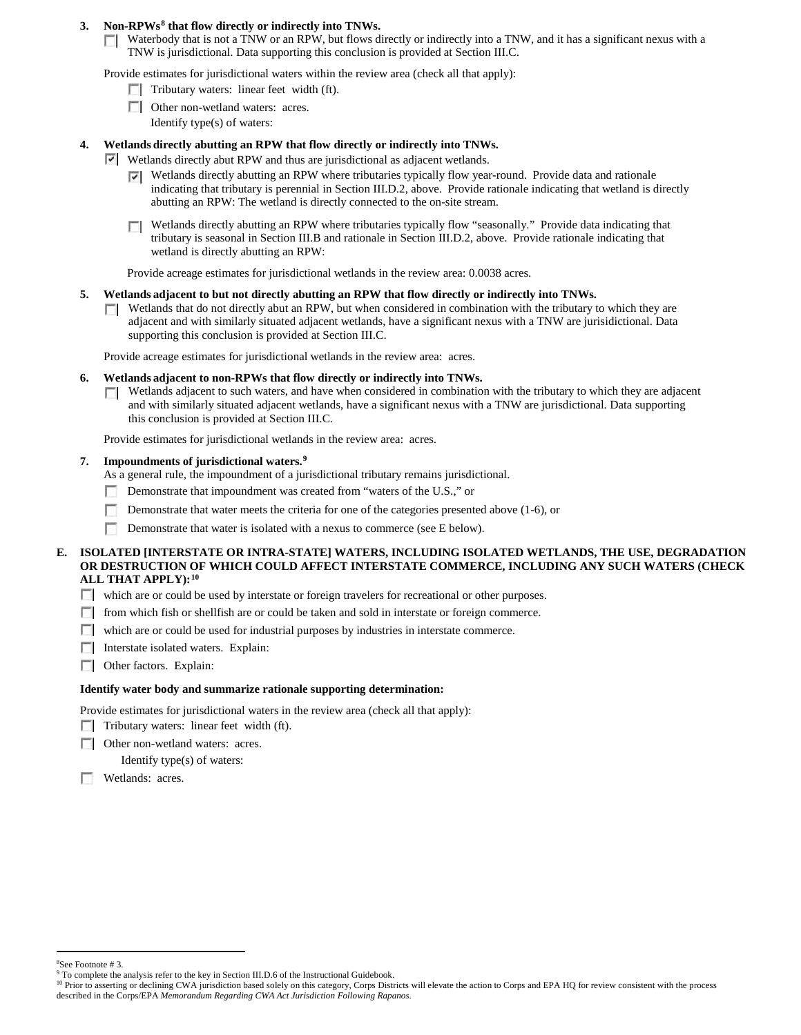## **3. Non-RPWs[8](#page-5-0) that flow directly or indirectly into TNWs.**

 $\Box$  Waterbody that is not a TNW or an RPW, but flows directly or indirectly into a TNW, and it has a significant nexus with a TNW is jurisdictional. Data supporting this conclusion is provided at Section III.C.

Provide estimates for jurisdictional waters within the review area (check all that apply):

- $\Box$  Tributary waters: linear feet width (ft).
- **Other non-wetland waters: acres.** 
	- Identify type(s) of waters:

### **4. Wetlands directly abutting an RPW that flow directly or indirectly into TNWs.**

- Wetlands directly abut RPW and thus are jurisdictional as adjacent wetlands.
	- $\triangledown$  Wetlands directly abutting an RPW where tributaries typically flow year-round. Provide data and rationale indicating that tributary is perennial in Section III.D.2, above. Provide rationale indicating that wetland is directly abutting an RPW: The wetland is directly connected to the on-site stream.
	- Wetlands directly abutting an RPW where tributaries typically flow "seasonally." Provide data indicating that tributary is seasonal in Section III.B and rationale in Section III.D.2, above. Provide rationale indicating that wetland is directly abutting an RPW:

Provide acreage estimates for jurisdictional wetlands in the review area: 0.0038 acres.

#### **5. Wetlands adjacent to but not directly abutting an RPW that flow directly or indirectly into TNWs.**

Wetlands that do not directly abut an RPW, but when considered in combination with the tributary to which they are n. adjacent and with similarly situated adjacent wetlands, have a significant nexus with a TNW are jurisidictional. Data supporting this conclusion is provided at Section III.C.

Provide acreage estimates for jurisdictional wetlands in the review area: acres.

#### **6. Wetlands adjacent to non-RPWs that flow directly or indirectly into TNWs.**

 $\Box$  Wetlands adjacent to such waters, and have when considered in combination with the tributary to which they are adjacent and with similarly situated adjacent wetlands, have a significant nexus with a TNW are jurisdictional. Data supporting this conclusion is provided at Section III.C.

Provide estimates for jurisdictional wetlands in the review area: acres.

#### **7. Impoundments of jurisdictional waters. [9](#page-5-1)**

As a general rule, the impoundment of a jurisdictional tributary remains jurisdictional.

- Demonstrate that impoundment was created from "waters of the U.S.," or  $\sim$
- Demonstrate that water meets the criteria for one of the categories presented above (1-6), or
- п Demonstrate that water is isolated with a nexus to commerce (see E below).

#### **E. ISOLATED [INTERSTATE OR INTRA-STATE] WATERS, INCLUDING ISOLATED WETLANDS, THE USE, DEGRADATION OR DESTRUCTION OF WHICH COULD AFFECT INTERSTATE COMMERCE, INCLUDING ANY SUCH WATERS (CHECK ALL THAT APPLY):[10](#page-5-2)**

- which are or could be used by interstate or foreign travelers for recreational or other purposes.
- from which fish or shellfish are or could be taken and sold in interstate or foreign commerce.
- which are or could be used for industrial purposes by industries in interstate commerce.
- **Interstate isolated waters. Explain:**
- **C** Other factors. Explain:

#### **Identify water body and summarize rationale supporting determination:**

Provide estimates for jurisdictional waters in the review area (check all that apply):

- $\Box$  Tributary waters: linear feet width (ft).
- □ Other non-wetland waters: acres.

Identify type(s) of waters:

n Wetlands: acres.

 $\frac{1}{8}$ 

<span id="page-5-0"></span><sup>&</sup>lt;sup>8</sup>See Footnote # 3.<br><sup>9</sup> To complete the analysis refer to the key in Section III.D.6 of the Instructional Guidebook.

<span id="page-5-2"></span><span id="page-5-1"></span><sup>&</sup>lt;sup>10</sup> Prior to asserting or declining CWA jurisdiction based solely on this category, Corps Districts will elevate the action to Corps and EPA HQ for review consistent with the process described in the Corps/EPA *Memorandum Regarding CWA Act Jurisdiction Following Rapanos.*